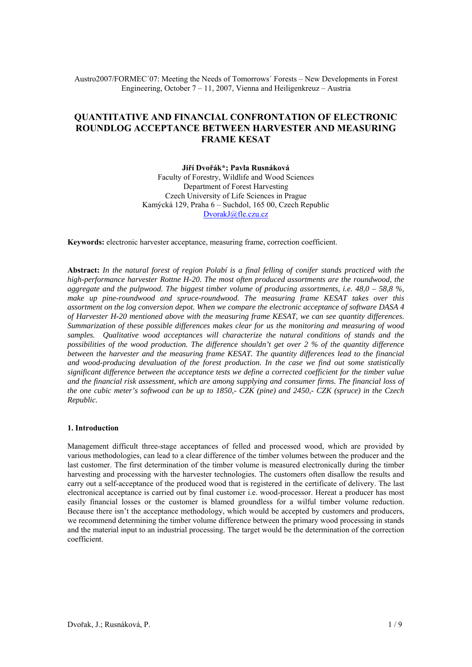Austro2007/FORMEC´07: Meeting the Needs of Tomorrows´ Forests – New Developments in Forest Engineering, October 7 – 11, 2007, Vienna and Heiligenkreuz – Austria

# **QUANTITATIVE AND FINANCIAL CONFRONTATION OF ELECTRONIC ROUNDLOG ACCEPTANCE BETWEEN HARVESTER AND MEASURING FRAME KESAT**

**Jiří Dvořák\*; Pavla Rusnáková**  Faculty of Forestry, Wildlife and Wood Sciences Department of Forest Harvesting Czech University of Life Sciences in Prague Kamýcká 129, Praha 6 – Suchdol, 165 00, Czech Republic DvorakJ@fle.czu.cz

**Keywords:** electronic harvester acceptance, measuring frame, correction coefficient.

**Abstract:** *In the natural forest of region Polabí is a final felling of conifer stands practiced with the high-performance harvester Rottne H-20. The most often produced assortments are the roundwood, the aggregate and the pulpwood. The biggest timber volume of producing assortments, i.e. 48,0 – 58,8 %, make up pine-roundwood and spruce-roundwood. The measuring frame KESAT takes over this assortment on the log conversion depot. When we compare the electronic acceptance of software DASA 4 of Harvester H-20 mentioned above with the measuring frame KESAT, we can see quantity differences. Summarization of these possible differences makes clear for us the monitoring and measuring of wood samples. Qualitative wood acceptances will characterize the natural conditions of stands and the possibilities of the wood production. The difference shouldn't get over 2 % of the quantity difference between the harvester and the measuring frame KESAT. The quantity differences lead to the financial and wood-producing devaluation of the forest production. In the case we find out some statistically significant difference between the acceptance tests we define a corrected coefficient for the timber value and the financial risk assessment, which are among supplying and consumer firms. The financial loss of the one cubic meter's softwood can be up to 1850,- CZK (pine) and 2450,- CZK (spruce) in the Czech Republic.* 

## **1. Introduction**

Management difficult three-stage acceptances of felled and processed wood, which are provided by various methodologies, can lead to a clear difference of the timber volumes between the producer and the last customer. The first determination of the timber volume is measured electronically during the timber harvesting and processing with the harvester technologies. The customers often disallow the results and carry out a self-acceptance of the produced wood that is registered in the certificate of delivery. The last electronical acceptance is carried out by final customer i.e. wood-processor. Hereat a producer has most easily financial losses or the customer is blamed groundless for a wilful timber volume reduction. Because there isn't the acceptance methodology, which would be accepted by customers and producers, we recommend determining the timber volume difference between the primary wood processing in stands and the material input to an industrial processing. The target would be the determination of the correction coefficient.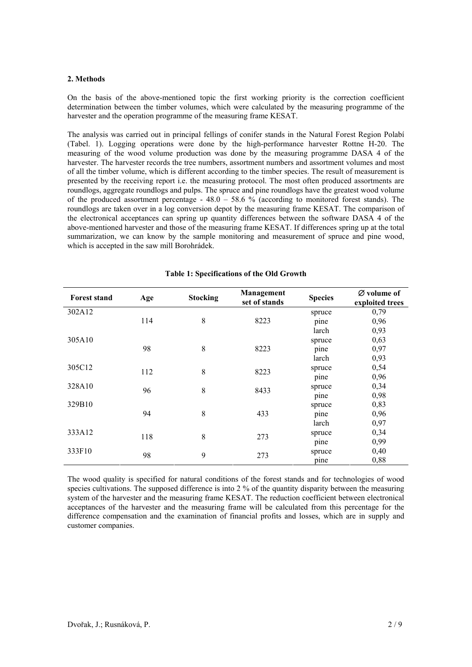### **2. Methods**

On the basis of the above-mentioned topic the first working priority is the correction coefficient determination between the timber volumes, which were calculated by the measuring programme of the harvester and the operation programme of the measuring frame KESAT.

The analysis was carried out in principal fellings of conifer stands in the Natural Forest Region Polabí (Tabel. 1). Logging operations were done by the high-performance harvester Rottne H-20. The measuring of the wood volume production was done by the measuring programme DASA 4 of the harvester. The harvester records the tree numbers, assortment numbers and assortment volumes and most of all the timber volume, which is different according to the timber species. The result of measurement is presented by the receiving report i.e. the measuring protocol. The most often produced assortments are roundlogs, aggregate roundlogs and pulps. The spruce and pine roundlogs have the greatest wood volume of the produced assortment percentage -  $48.0 - 58.6$  % (according to monitored forest stands). The roundlogs are taken over in a log conversion depot by the measuring frame KESAT. The comparison of the electronical acceptances can spring up quantity differences between the software DASA 4 of the above-mentioned harvester and those of the measuring frame KESAT. If differences spring up at the total summarization, we can know by the sample monitoring and measurement of spruce and pine wood, which is accepted in the saw mill Borohrádek.

| <b>Forest stand</b> | Age | <b>Stocking</b> | Management<br>set of stands | <b>Species</b> | Ø volume of<br>exploited trees |
|---------------------|-----|-----------------|-----------------------------|----------------|--------------------------------|
| 302A12              |     |                 |                             | spruce         | 0,79                           |
|                     | 114 | 8               | 8223                        | pine           | 0,96                           |
|                     |     |                 |                             | larch          | 0,93                           |
| 305A10              |     |                 |                             | spruce         | 0,63                           |
|                     | 98  | 8               | 8223                        | pine           | 0,97                           |
|                     |     |                 |                             | larch          | 0,93                           |
| 305C12              | 112 | 8               | 8223                        | spruce         | 0,54                           |
|                     |     |                 |                             | pine           | 0,96                           |
| 328A10              | 96  | 8               | 8433                        | spruce         | 0,34                           |
|                     |     |                 |                             | pine           | 0,98                           |
| 329B10              |     |                 |                             | spruce         | 0,83                           |
|                     | 94  | 8               | 433                         | pine           | 0,96                           |
|                     |     |                 |                             | larch          | 0,97                           |
| 333A12              | 118 | 8               | 273                         | spruce         | 0,34                           |
|                     |     |                 |                             | pine           | 0,99                           |
| 333F10              | 98  | 9               | 273                         | spruce         | 0,40                           |
|                     |     |                 |                             | pine           | 0,88                           |

# **Table 1: Specifications of the Old Growth**

The wood quality is specified for natural conditions of the forest stands and for technologies of wood species cultivations. The supposed difference is into 2 % of the quantity disparity between the measuring system of the harvester and the measuring frame KESAT. The reduction coefficient between electronical acceptances of the harvester and the measuring frame will be calculated from this percentage for the difference compensation and the examination of financial profits and losses, which are in supply and customer companies.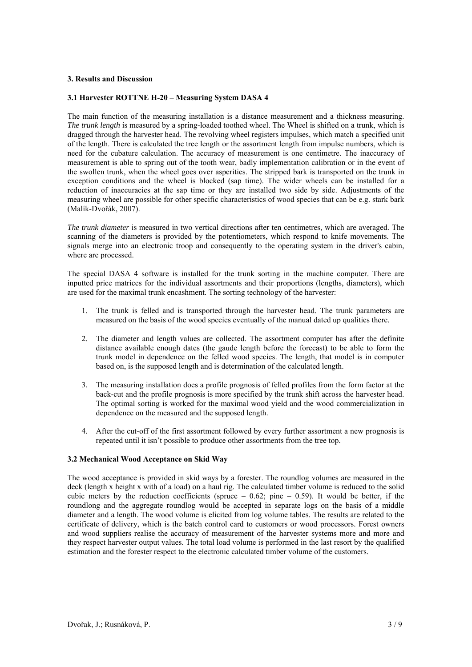# **3. Results and Discussion**

# **3.1 Harvester ROTTNE H-20 – Measuring System DASA 4**

The main function of the measuring installation is a distance measurement and a thickness measuring. *The trunk length* is measured by a spring-loaded toothed wheel. The Wheel is shifted on a trunk, which is dragged through the harvester head. The revolving wheel registers impulses, which match a specified unit of the length. There is calculated the tree length or the assortment length from impulse numbers, which is need for the cubature calculation. The accuracy of measurement is one centimetre. The inaccuracy of measurement is able to spring out of the tooth wear, badly implementation calibration or in the event of the swollen trunk, when the wheel goes over asperities. The stripped bark is transported on the trunk in exception conditions and the wheel is blocked (sap time). The wider wheels can be installed for a reduction of inaccuracies at the sap time or they are installed two side by side. Adjustments of the measuring wheel are possible for other specific characteristics of wood species that can be e.g. stark bark (Malík-Dvořák, 2007).

*The trunk diameter* is measured in two vertical directions after ten centimetres, which are averaged. The scanning of the diameters is provided by the potentiometers, which respond to knife movements. The signals merge into an electronic troop and consequently to the operating system in the driver's cabin, where are processed.

The special DASA 4 software is installed for the trunk sorting in the machine computer. There are inputted price matrices for the individual assortments and their proportions (lengths, diameters), which are used for the maximal trunk encashment. The sorting technology of the harvester:

- 1. The trunk is felled and is transported through the harvester head. The trunk parameters are measured on the basis of the wood species eventually of the manual dated up qualities there.
- 2. The diameter and length values are collected. The assortment computer has after the definite distance available enough dates (the gaude length before the forecast) to be able to form the trunk model in dependence on the felled wood species. The length, that model is in computer based on, is the supposed length and is determination of the calculated length.
- 3. The measuring installation does a profile prognosis of felled profiles from the form factor at the back-cut and the profile prognosis is more specified by the trunk shift across the harvester head. The optimal sorting is worked for the maximal wood yield and the wood commercialization in dependence on the measured and the supposed length.
- 4. After the cut-off of the first assortment followed by every further assortment a new prognosis is repeated until it isn't possible to produce other assortments from the tree top.

# **3.2 Mechanical Wood Acceptance on Skid Way**

The wood acceptance is provided in skid ways by a forester. The roundlog volumes are measured in the deck (length x height x with of a load) on a haul rig. The calculated timber volume is reduced to the solid cubic meters by the reduction coefficients (spruce  $-0.62$ ; pine  $-0.59$ ). It would be better, if the roundlong and the aggregate roundlog would be accepted in separate logs on the basis of a middle diameter and a length. The wood volume is elicited from log volume tables. The results are related to the certificate of delivery, which is the batch control card to customers or wood processors. Forest owners and wood suppliers realise the accuracy of measurement of the harvester systems more and more and they respect harvester output values. The total load volume is performed in the last resort by the qualified estimation and the forester respect to the electronic calculated timber volume of the customers.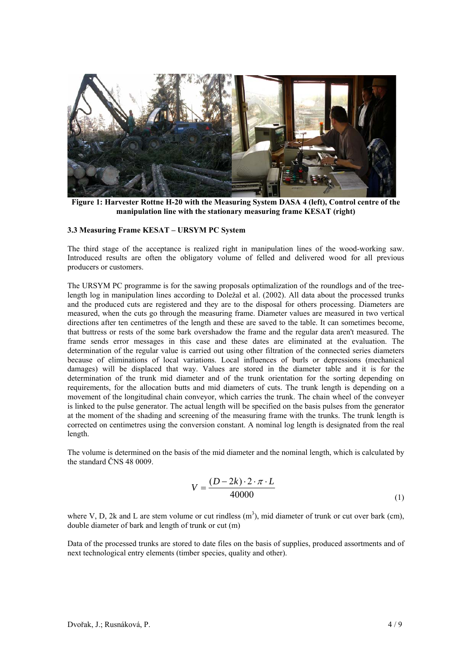

**Figure 1: Harvester Rottne H-20 with the Measuring System DASA 4 (left), Control centre of the manipulation line with the stationary measuring frame KESAT (right)** 

# **3.3 Measuring Frame KESAT – URSYM PC System**

The third stage of the acceptance is realized right in manipulation lines of the wood-working saw. Introduced results are often the obligatory volume of felled and delivered wood for all previous producers or customers.

The URSYM PC programme is for the sawing proposals optimalization of the roundlogs and of the treelength log in manipulation lines according to Doležal et al. (2002). All data about the processed trunks and the produced cuts are registered and they are to the disposal for others processing. Diameters are measured, when the cuts go through the measuring frame. Diameter values are measured in two vertical directions after ten centimetres of the length and these are saved to the table. It can sometimes become, that buttress or rests of the some bark overshadow the frame and the regular data aren't measured. The frame sends error messages in this case and these dates are eliminated at the evaluation. The determination of the regular value is carried out using other filtration of the connected series diameters because of eliminations of local variations. Local influences of burls or depressions (mechanical damages) will be displaced that way. Values are stored in the diameter table and it is for the determination of the trunk mid diameter and of the trunk orientation for the sorting depending on requirements, for the allocation butts and mid diameters of cuts. The trunk length is depending on a movement of the longitudinal chain conveyor, which carries the trunk. The chain wheel of the conveyer is linked to the pulse generator. The actual length will be specified on the basis pulses from the generator at the moment of the shading and screening of the measuring frame with the trunks. The trunk length is corrected on centimetres using the conversion constant. A nominal log length is designated from the real length.

The volume is determined on the basis of the mid diameter and the nominal length, which is calculated by the standard ČNS 48 0009.

$$
V = \frac{(D - 2k) \cdot 2 \cdot \pi \cdot L}{40000}
$$
 (1)

where V, D, 2k and L are stem volume or cut rindless  $(m^3)$ , mid diameter of trunk or cut over bark (cm), double diameter of bark and length of trunk or cut (m)

Data of the processed trunks are stored to date files on the basis of supplies, produced assortments and of next technological entry elements (timber species, quality and other).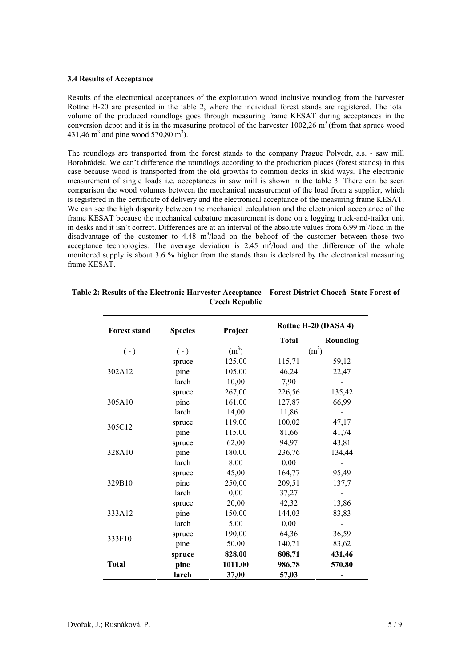#### **3.4 Results of Acceptance**

Results of the electronical acceptances of the exploitation wood inclusive roundlog from the harvester Rottne H-20 are presented in the table 2, where the individual forest stands are registered. The total volume of the produced roundlogs goes through measuring frame KESAT during acceptances in the conversion depot and it is in the measuring protocol of the harvester  $1002,26$  m<sup>3</sup> (from that spruce wood 431,46 m<sup>3</sup> and pine wood 570,80 m<sup>3</sup>).

The roundlogs are transported from the forest stands to the company Prague Polyedr, a.s. - saw mill Borohrádek. We can't difference the roundlogs according to the production places (forest stands) in this case because wood is transported from the old growths to common decks in skid ways. The electronic measurement of single loads i.e. acceptances in saw mill is shown in the table 3. There can be seen comparison the wood volumes between the mechanical measurement of the load from a supplier, which is registered in the certificate of delivery and the electronical acceptance of the measuring frame KESAT. We can see the high disparity between the mechanical calculation and the electronical acceptance of the frame KESAT because the mechanical cubature measurement is done on a logging truck-and-trailer unit in desks and it isn't correct. Differences are at an interval of the absolute values from 6.99 m<sup>3</sup>/load in the disadvantage of the customer to  $4.48 \text{ m}^3/\text{load}$  on the behoof of the customer between those two acceptance technologies. The average deviation is  $2.45 \text{ m}^3/\text{load}$  and the difference of the whole monitored supply is about 3.6 % higher from the stands than is declared by the electronical measuring frame KESAT

| <b>Forest stand</b> | <b>Species</b> | Project           |              | Rottne H-20 (DASA 4) |  |  |
|---------------------|----------------|-------------------|--------------|----------------------|--|--|
|                     |                |                   | <b>Total</b> | <b>Roundlog</b>      |  |  |
| $(-)$               | $(-)$          | (m <sup>3</sup> ) | $(m^3)$      |                      |  |  |
|                     | spruce         | 125,00            | 115,71       | 59,12                |  |  |
| 302A12              | pine           | 105,00            | 46,24        | 22,47                |  |  |
|                     | larch          | 10,00             | 7,90         |                      |  |  |
|                     | spruce         | 267,00            | 226,56       | 135,42               |  |  |
| 305A10              | pine           | 161,00            | 127,87       | 66,99                |  |  |
|                     | larch          | 14,00             | 11,86        |                      |  |  |
| 305C12              | spruce         | 119,00            | 100,02       | 47,17                |  |  |
|                     | pine           | 115,00            | 81,66        | 41,74                |  |  |
|                     | spruce         | 62,00             | 94,97        | 43,81                |  |  |
| 328A10              | pine           | 180,00            | 236,76       | 134,44               |  |  |
|                     | larch          | 8,00              | 0,00         |                      |  |  |
|                     | spruce         | 45,00             | 164,77       | 95,49                |  |  |
| 329B10              | pine           | 250,00            | 209,51       | 137,7                |  |  |
|                     | larch          | 0,00              | 37,27        |                      |  |  |
|                     | spruce         | 20,00             | 42,32        | 13,86                |  |  |
| 333A12              | pine           | 150,00            | 144,03       | 83,83                |  |  |
|                     | larch          | 5,00              | 0,00         |                      |  |  |
|                     | spruce         | 190,00            | 64,36        | 36,59                |  |  |
| 333F10              | pine           | 50,00             | 140,71       | 83,62                |  |  |
|                     | spruce         | 828,00            | 808,71       | 431,46               |  |  |
| <b>Total</b>        | pine           | 1011,00           | 986,78       | 570,80               |  |  |
|                     | larch          | 37,00             | 57,03        |                      |  |  |

# **Table 2: Results of the Electronic Harvester Acceptance – Forest District Choceň State Forest of Czech Republic**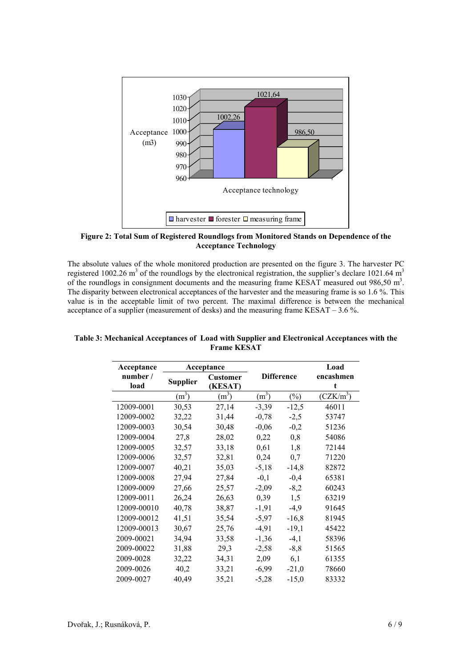

**Figure 2: Total Sum of Registered Roundlogs from Monitored Stands on Dependence of the Acceptance Technology** 

The absolute values of the whole monitored production are presented on the figure 3. The harvester PC registered 1002.26 m<sup>3</sup> of the roundlogs by the electronical registration, the supplier's declare 1021.64 m<sup>3</sup> of the roundlogs in consignment documents and the measuring frame KESAT measured out  $986,50 \text{ m}^3$ . The disparity between electronical acceptances of the harvester and the measuring frame is so 1.6 %. This value is in the acceptable limit of two percent. The maximal difference is between the mechanical acceptance of a supplier (measurement of desks) and the measuring frame KESAT – 3.6 %.

| Acceptance       | Acceptance        |                            |                   |         | Load           |  |
|------------------|-------------------|----------------------------|-------------------|---------|----------------|--|
| number /<br>load | <b>Supplier</b>   | <b>Customer</b><br>(KESAT) | <b>Difference</b> |         | encashmen<br>t |  |
|                  | (m <sup>3</sup> ) | $(m^3)$                    | (m <sup>3</sup> ) | $(\%)$  | $(CZK/m^3)$    |  |
| 12009-0001       | 30,53             | 27,14                      | $-3,39$           | $-12,5$ | 46011          |  |
| 12009-0002       | 32,22             | 31,44                      | $-0,78$           | $-2,5$  | 53747          |  |
| 12009-0003       | 30,54             | 30,48                      | $-0,06$           | $-0,2$  | 51236          |  |
| 12009-0004       | 27,8              | 28,02                      | 0,22              | 0,8     | 54086          |  |
| 12009-0005       | 32,57             | 33,18                      | 0,61              | 1,8     | 72144          |  |
| 12009-0006       | 32,57             | 32,81                      | 0,24              | 0,7     | 71220          |  |
| 12009-0007       | 40,21             | 35,03                      | $-5,18$           | $-14,8$ | 82872          |  |
| 12009-0008       | 27,94             | 27,84                      | $-0,1$            | $-0,4$  | 65381          |  |
| 12009-0009       | 27,66             | 25,57                      | $-2,09$           | $-8,2$  | 60243          |  |
| 12009-0011       | 26,24             | 26,63                      | 0,39              | 1,5     | 63219          |  |
| 12009-00010      | 40,78             | 38,87                      | $-1,91$           | $-4,9$  | 91645          |  |
| 12009-00012      | 41,51             | 35,54                      | $-5,97$           | $-16,8$ | 81945          |  |
| 12009-00013      | 30,67             | 25,76                      | $-4,91$           | $-19,1$ | 45422          |  |
| 2009-00021       | 34,94             | 33,58                      | $-1,36$           | $-4,1$  | 58396          |  |
| 2009-00022       | 31,88             | 29,3                       | $-2,58$           | $-8, 8$ | 51565          |  |
| 2009-0028        | 32,22             | 34,31                      | 2,09              | 6,1     | 61355          |  |
| 2009-0026        | 40,2              | 33,21                      | $-6,99$           | $-21,0$ | 78660          |  |
| 2009-0027        | 40,49             | 35,21                      | $-5,28$           | $-15,0$ | 83332          |  |

**Table 3: Mechanical Acceptances of Load with Supplier and Electronical Acceptances with the Frame KESAT**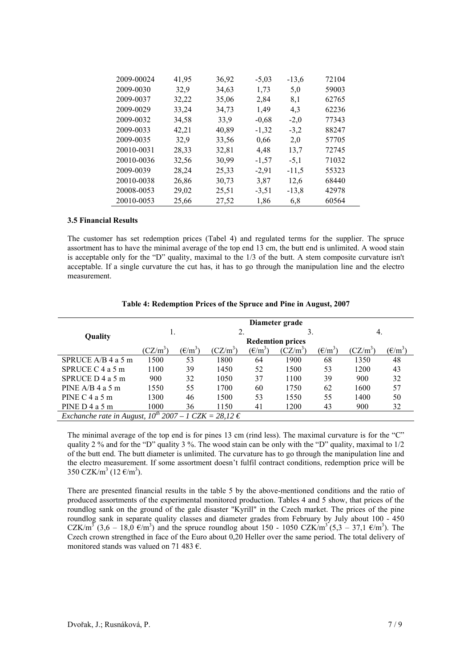| 2009-00024 | 41,95 | 36,92 | $-5,03$ | $-13.6$ | 72104 |
|------------|-------|-------|---------|---------|-------|
| 2009-0030  | 32,9  | 34,63 | 1,73    | 5,0     | 59003 |
| 2009-0037  | 32,22 | 35,06 | 2,84    | 8,1     | 62765 |
| 2009-0029  | 33,24 | 34,73 | 1,49    | 4.3     | 62236 |
| 2009-0032  | 34,58 | 33.9  | $-0,68$ | $-2,0$  | 77343 |
| 2009-0033  | 42,21 | 40,89 | $-1,32$ | $-3,2$  | 88247 |
| 2009-0035  | 32,9  | 33,56 | 0.66    | 2,0     | 57705 |
| 20010-0031 | 28,33 | 32,81 | 4,48    | 13,7    | 72745 |
| 20010-0036 | 32,56 | 30,99 | $-1,57$ | $-5,1$  | 71032 |
| 2009-0039  | 28,24 | 25,33 | $-2,91$ | $-11.5$ | 55323 |
| 20010-0038 | 26,86 | 30,73 | 3.87    | 12,6    | 68440 |
| 20008-0053 | 29,02 | 25,51 | $-3,51$ | $-13,8$ | 42978 |
| 20010-0053 | 25,66 | 27,52 | 1,86    | 6,8     | 60564 |

# **3.5 Financial Results**

The customer has set redemption prices (Tabel 4) and regulated terms for the supplier. The spruce assortment has to have the minimal average of the top end 13 cm, the butt end is unlimited. A wood stain is acceptable only for the "D" quality, maximal to the 1/3 of the butt. A stem composite curvature isn't acceptable. If a single curvature the cut has, it has to go through the manipulation line and the electro measurement.

|                                                                     |                         |                                                                     |            |                  | Diameter grade |                                                                     |            |                  |
|---------------------------------------------------------------------|-------------------------|---------------------------------------------------------------------|------------|------------------|----------------|---------------------------------------------------------------------|------------|------------------|
|                                                                     |                         |                                                                     |            |                  |                |                                                                     | 4.         |                  |
| Quality                                                             | <b>Redemtion prices</b> |                                                                     |            |                  |                |                                                                     |            |                  |
|                                                                     | $(CZ/m^3)$              | $(\text{\ensuremath{\mathbb{E}}}/\text{\ensuremath{\mathbf{m}}}^3)$ | $(CZ/m^3)$ | $(\epsilon/m^3)$ | $(CZ/m^3)$     | $(\text{\ensuremath{\mathbb{E}}}/\text{\ensuremath{\mathbf{m}}}^3)$ | $(CZ/m^3)$ | $(\epsilon/m^3)$ |
| SPRUCE A/B 4 a 5 m                                                  | 1500                    | 53                                                                  | 1800       | 64               | 1900           | 68                                                                  | 1350       | 48               |
| SPRUCE $C$ 4 a 5 m                                                  | 1100                    | 39                                                                  | 1450       | 52               | 1500           | 53                                                                  | 1200       | 43               |
| SPRUCE $D$ 4 a 5 m                                                  | 900                     | 32                                                                  | 1050       | 37               | 1100           | 39                                                                  | 900        | 32               |
| PINE $A/B$ 4 a 5 m                                                  | 1550                    | 55                                                                  | 1700       | 60               | 1750           | 62                                                                  | 1600       | 57               |
| PINE $C$ 4 a 5 m                                                    | 1300                    | 46                                                                  | 1500       | 53               | 1550           | 55                                                                  | 1400       | 50               |
| PINE $D$ 4 a 5 m                                                    | 1000                    | 36                                                                  | 1150       | 41               | 1200           | 43                                                                  | 900        | 32               |
| Exchanche rate in August, $10^{th}$ 2007 – 1 CZK = 28,12 $\epsilon$ |                         |                                                                     |            |                  |                |                                                                     |            |                  |

#### **Table 4: Redemption Prices of the Spruce and Pine in August, 2007**

The minimal average of the top end is for pines 13 cm (rind less). The maximal curvature is for the "C" quality 2 % and for the "D" quality 3 %. The wood stain can be only with the "D" quality, maximal to 1/2 of the butt end. The butt diameter is unlimited. The curvature has to go through the manipulation line and the electro measurement. If some assortment doesn't fulfil contract conditions, redemption price will be 350 CZK/m<sup>3</sup> (12  $\epsilon/m^3$ ).

There are presented financial results in the table 5 by the above-mentioned conditions and the ratio of produced assortments of the experimental monitored production. Tables 4 and 5 show, that prices of the roundlog sank on the ground of the gale disaster "Kyrill" in the Czech market. The prices of the pine roundlog sank in separate quality classes and diameter grades from February by July about 100 - 450  $CZK/m^3$  (3,6 – 18,0  $\epsilon/m^3$ ) and the spruce roundlog about 150 - 1050 CZK/m<sup>3</sup> (5,3 – 37,1  $\epsilon/m^3$ ). The Czech crown strengthed in face of the Euro about 0,20 Heller over the same period. The total delivery of monitored stands was valued on 71 483  $\epsilon$ .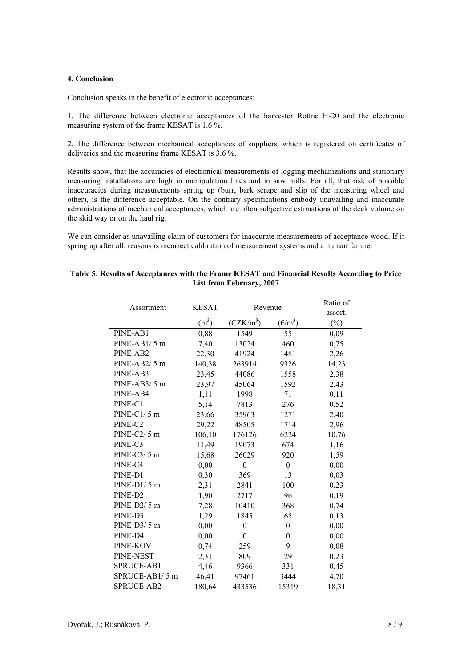## **4. Conclusion**

Conclusion speaks in the benefit of electronic acceptances:

1. The difference between electronic acceptances of the harvester Rottne H-20 and the electronic measuring system of the frame KESAT is 1.6 %,

2. The difference between mechanical acceptances of suppliers, which is registered on certificates of deliveries and the measuring frame KESAT is 3.6 %.

Results show, that the accuracies of electronical measurements of logging mechanizations and stationary measuring installations are high in manipulation lines and in saw mills. For all, that risk of possible inaccuracies during measurements spring up (burr, bark scrape and slip of the measuring wheel and other), is the difference acceptable. On the contrary specifications embody unavailing and inaccurate administrations of mechanical acceptances, which are often subjective estimations of the deck volume on the skid way or on the haul rig.

We can consider as unavailing claim of customers for inaccurate measurements of acceptance wood. If it spring up after all, reasons is incorrect calibration of measurement systems and a human failure.

| Assortment          | <b>KESAT</b>      | Revenue      |                                                                     | Ratio of<br>assort. |
|---------------------|-------------------|--------------|---------------------------------------------------------------------|---------------------|
|                     | (m <sup>3</sup> ) | $(CZK/m^3)$  | $(\text{\ensuremath{\mathsf{E}}}/\text{\ensuremath{\mathsf{m}}}^3)$ | $(\%)$              |
| PINE-AB1            | 0,88              | 1549         | 55                                                                  | 0,09                |
| PINE-AB1/5 m        | 7,40              | 13024        | 460                                                                 | 0,75                |
| PINE-AB2            | 22,30             | 41924        | 1481                                                                | 2,26                |
| PINE-AB2/5 m        | 140,38            | 263914       | 9326                                                                | 14,23               |
| PINE-AB3            | 23,45             | 44086        | 1558                                                                | 2,38                |
| PINE-AB3/5 m        | 23,97             | 45064        | 1592                                                                | 2,43                |
| PINE-AB4            | 1,11              | 1998         | 71                                                                  | 0,11                |
| PINE-C1             | 5,14              | 7813         | 276                                                                 | 0,52                |
| PINE-C1/5 m         | 23,66             | 35963        | 1271                                                                | 2,40                |
| PINE-C2             | 29,22             | 48505        | 1714                                                                | 2,96                |
| PINE-C2/5 m         | 106,10            | 176126       | 6224                                                                | 10,76               |
| PINE-C3             | 11,49             | 19073        | 674                                                                 | 1,16                |
| PINE-C3/5 m         | 15,68             | 26029        | 920                                                                 | 1,59                |
| PINE-C4             | 0,00              | $\mathbf{0}$ | $\boldsymbol{0}$                                                    | 0,00                |
| PINE-D1             | 0,30              | 369          | 13                                                                  | 0,03                |
| $PINE-D1/5m$        | 2,31              | 2841         | 100                                                                 | 0,23                |
| PINE-D <sub>2</sub> | 1,90              | 2717         | 96                                                                  | 0,19                |
| PINE-D2/5 m         | 7,28              | 10410        | 368                                                                 | 0,74                |
| PINE-D3             | 1,29              | 1845         | 65                                                                  | 0,13                |
| $PINE-D3/5$ m       | 0,00              | $\mathbf{0}$ | $\boldsymbol{0}$                                                    | 0,00                |
| PINE-D4             | 0,00              | $\mathbf{0}$ | $\boldsymbol{0}$                                                    | 0,00                |
| PINE-KOV            | 0,74              | 259          | 9                                                                   | 0,08                |
| PINE-NEST           | 2,31              | 809          | 29                                                                  | 0,23                |
| SPRUCE-AB1          | 4,46              | 9366         | 331                                                                 | 0,45                |
| SPRUCE-AB1/5 m      | 46,41             | 97461        | 3444                                                                | 4,70                |
| SPRUCE-AB2          | 180,64            | 433536       | 15319                                                               | 18,31               |

### **Table 5: Results of Acceptances with the Frame KESAT and Financial Results According to Price List from February, 2007**